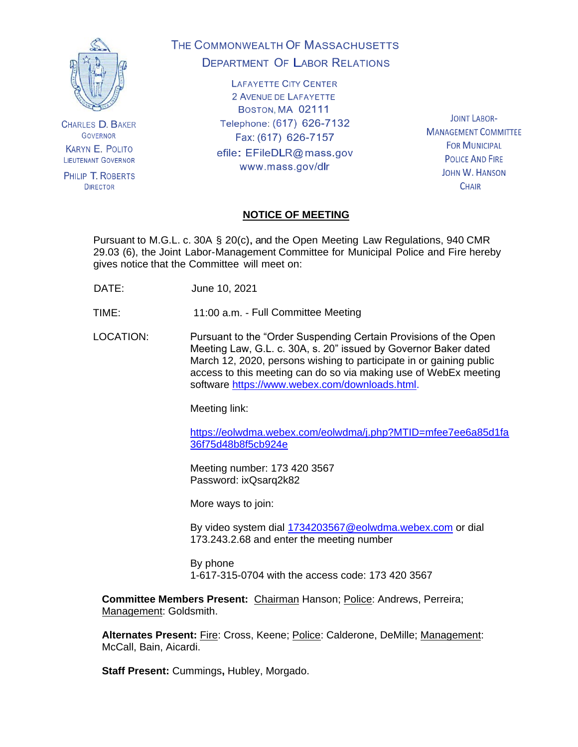

**CHARLES D. BAKER GOVERNOR KARYN E. POLITO LIEUTENANT GOVERNOR** 

PHILIP T. ROBERTS **DIRECTOR** 

# THE COMMONWEALTH OF MASSACHUSETTS **DEPARTMENT OF LABOR RELATIONS**

**LAFAYETTE CITY CENTER** 2 AVENUE DE LAFAYETTE BOSTON, MA 02111 Telephone: (617) 626-7132 Fax: (617) 626-7157

efile: EFileDLR@mass.gov www.mass.gov/dlr

**JOINT LABOR-MANAGEMENT COMMITTEE FOR MUNICIPAL POLICE AND FIRE JOHN W. HANSON CHAIR** 

# **NOTICE OF MEETING**

Pursuant to M.G.L. c. 30A § 20(c), and the Open Meeting Law Regulations, 940 CMR 29.03 (6), the Joint Labor-Management Committee for Municipal Police and Fire hereby gives notice that the Committee will meet on:

DATE: June 10, 2021

TIME: 11:00 a.m. - Full Committee Meeting

LOCATION: Pursuant to the "Order Suspending Certain Provisions of the Open Meeting Law, G.L. c. 30A, s. 20" issued by Governor Baker dated March 12, 2020, persons wishing to participate in or gaining public access to this meeting can do so via making use of WebEx meeting software [https://www.webex.com/downloads.html.](https://www.webex.com/downloads.html)

Meeting link:

[https://eolwdma.webex.com/eolwdma/j.php?MTID=mfee7ee6a85d1fa](https://eolwdma.webex.com/eolwdma/j.php?MTID=mfee7ee6a85d1fa36f75d48b8f5cb924e) [36f75d48b8f5cb924e](https://eolwdma.webex.com/eolwdma/j.php?MTID=mfee7ee6a85d1fa36f75d48b8f5cb924e)

Meeting number: 173 420 3567 Password: ixQsarq2k82

More ways to join:

By video system dial [1734203567@eolwdma.webex.com](mailto:1734203567@eolwdma.webex.com) or dial 173.243.2.68 and enter the meeting number

By phone 1-617-315-0704 with the access code: 173 420 3567

**Committee Members Present:** Chairman Hanson; Police: Andrews, Perreira; Management: Goldsmith.

Alternates Present: Fire: Cross, Keene; Police: Calderone, DeMille; Management: McCall, Bain, Aicardi.

**Staff Present:** Cummings**,** Hubley, Morgado.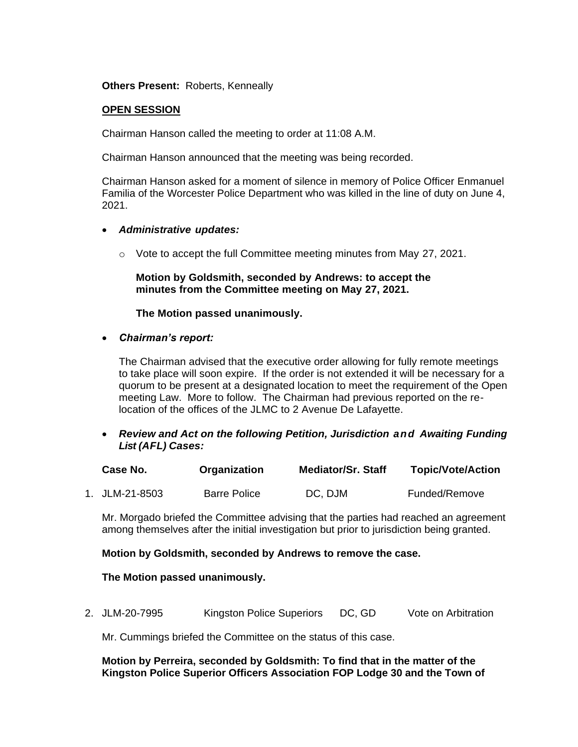**Others Present:** Roberts, Kenneally

#### **OPEN SESSION**

Chairman Hanson called the meeting to order at 11:08 A.M.

Chairman Hanson announced that the meeting was being recorded.

Chairman Hanson asked for a moment of silence in memory of Police Officer Enmanuel Familia of the Worcester Police Department who was killed in the line of duty on June 4, 2021.

#### • *Administrative updates:*

o Vote to accept the full Committee meeting minutes from May 27, 2021.

**Motion by Goldsmith, seconded by Andrews: to accept the minutes from the Committee meeting on May 27, 2021.**

#### **The Motion passed unanimously.**

• *Chairman's report:*

The Chairman advised that the executive order allowing for fully remote meetings to take place will soon expire. If the order is not extended it will be necessary for a quorum to be present at a designated location to meet the requirement of the Open meeting Law. More to follow. The Chairman had previous reported on the relocation of the offices of the JLMC to 2 Avenue De Lafayette.

• *Review and Act on the following Petition, Jurisdiction and Awaiting Funding List (AFL) Cases:*

| Case No.       | Organization        | Mediator/Sr. Staff | <b>Topic/Vote/Action</b> |
|----------------|---------------------|--------------------|--------------------------|
| 1. JLM-21-8503 | <b>Barre Police</b> | DC, DJM            | Funded/Remove            |

Mr. Morgado briefed the Committee advising that the parties had reached an agreement among themselves after the initial investigation but prior to jurisdiction being granted.

**Motion by Goldsmith, seconded by Andrews to remove the case.**

**The Motion passed unanimously.**

2. JLM-20-7995 Kingston Police Superiors DC, GD Vote on Arbitration

Mr. Cummings briefed the Committee on the status of this case.

# **Motion by Perreira, seconded by Goldsmith: To find that in the matter of the Kingston Police Superior Officers Association FOP Lodge 30 and the Town of**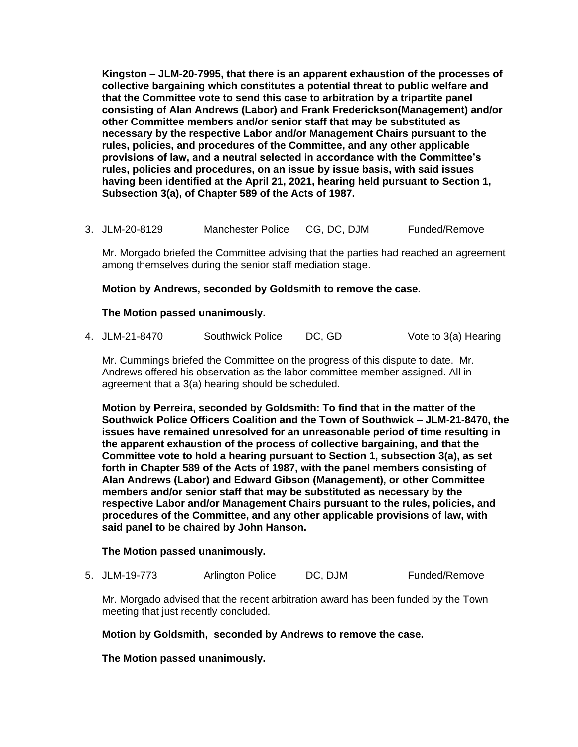**Kingston – JLM-20-7995, that there is an apparent exhaustion of the processes of collective bargaining which constitutes a potential threat to public welfare and that the Committee vote to send this case to arbitration by a tripartite panel consisting of Alan Andrews (Labor) and Frank Frederickson(Management) and/or other Committee members and/or senior staff that may be substituted as necessary by the respective Labor and/or Management Chairs pursuant to the rules, policies, and procedures of the Committee, and any other applicable provisions of law, and a neutral selected in accordance with the Committee's rules, policies and procedures, on an issue by issue basis, with said issues having been identified at the April 21, 2021, hearing held pursuant to Section 1, Subsection 3(a), of Chapter 589 of the Acts of 1987.** 

3. JLM-20-8129 Manchester Police CG, DC, DJM Funded/Remove

Mr. Morgado briefed the Committee advising that the parties had reached an agreement among themselves during the senior staff mediation stage.

# **Motion by Andrews, seconded by Goldsmith to remove the case.**

# **The Motion passed unanimously.**

|  | 4. JLM-21-8470 | <b>Southwick Police</b> | DC, GD | Vote to 3(a) Hearing |
|--|----------------|-------------------------|--------|----------------------|
|--|----------------|-------------------------|--------|----------------------|

Mr. Cummings briefed the Committee on the progress of this dispute to date. Mr. Andrews offered his observation as the labor committee member assigned. All in agreement that a 3(a) hearing should be scheduled.

**Motion by Perreira, seconded by Goldsmith: To find that in the matter of the Southwick Police Officers Coalition and the Town of Southwick – JLM-21-8470, the issues have remained unresolved for an unreasonable period of time resulting in the apparent exhaustion of the process of collective bargaining, and that the Committee vote to hold a hearing pursuant to Section 1, subsection 3(a), as set forth in Chapter 589 of the Acts of 1987, with the panel members consisting of Alan Andrews (Labor) and Edward Gibson (Management), or other Committee members and/or senior staff that may be substituted as necessary by the respective Labor and/or Management Chairs pursuant to the rules, policies, and procedures of the Committee, and any other applicable provisions of law, with said panel to be chaired by John Hanson.**

# **The Motion passed unanimously.**

5. JLM-19-773 Arlington Police DC, DJM Funded/Remove

Mr. Morgado advised that the recent arbitration award has been funded by the Town meeting that just recently concluded.

# **Motion by Goldsmith, seconded by Andrews to remove the case.**

**The Motion passed unanimously.**